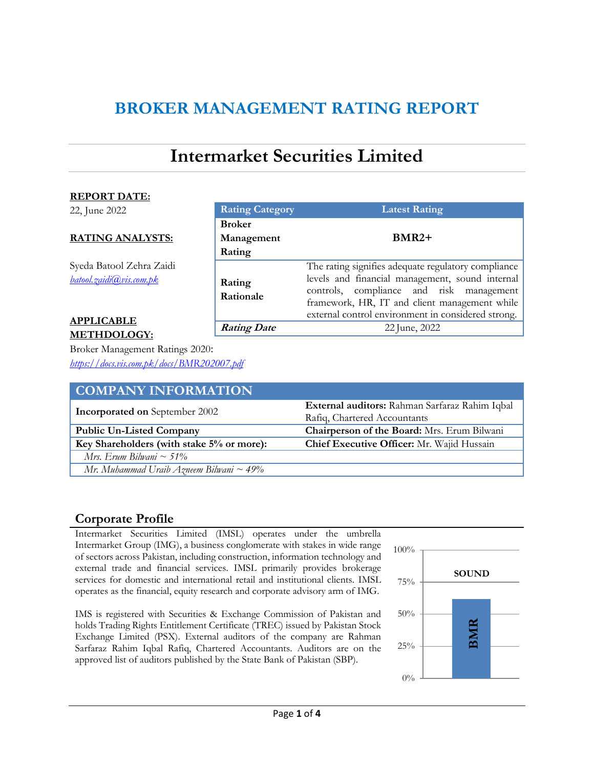# **BROKER MANAGEMENT RATING REPORT**

# **Intermarket Securities Limited**

**Rating Category Latest Rating**

**Rating Date** 22 June, 2022

**BMR2+**

The rating signifies adequate regulatory compliance levels and financial management, sound internal controls, compliance and risk management framework, HR, IT and client management while external control environment in considered strong.

### **REPORT DATE:**

22, June 2022

### **RATING ANALYSTS:**

Syeda Batool Zehra Zaidi *[batool.zaidi@vis.com.pk](mailto:batool.zaidi@vis.com.pk)*

### **APPLICABLE METHDOLOGY:**

Broker Management Ratings 2020: *<https://docs.vis.com.pk/docs/BMR202007.pdf>*

| <b>COMPANY INFORMATION</b>                 |                                                |
|--------------------------------------------|------------------------------------------------|
| <b>Incorporated on September 2002</b>      | External auditors: Rahman Sarfaraz Rahim Iqbal |
|                                            | Rafiq, Chartered Accountants                   |
| <b>Public Un-Listed Company</b>            | Chairperson of the Board: Mrs. Erum Bilwani    |
| Key Shareholders (with stake 5% or more):  | Chief Executive Officer: Mr. Wajid Hussain     |
| Mrs. Erum Bilwani ~ 51%                    |                                                |
| Mr. Muhammad Uraib Azneem Bilwani ~ $49\%$ |                                                |

### **Corporate Profile**

Intermarket Securities Limited (IMSL) operates under the umbrella Intermarket Group (IMG), a business conglomerate with stakes in wide range of sectors across Pakistan, including construction, information technology and external trade and financial services. IMSL primarily provides brokerage services for domestic and international retail and institutional clients. IMSL operates as the financial, equity research and corporate advisory arm of IMG.

**Broker** 

**Rating**

**Rating Rationale**

**Management** 

IMS is registered with Securities & Exchange Commission of Pakistan and holds Trading Rights Entitlement Certificate (TREC) issued by Pakistan Stock Exchange Limited (PSX). External auditors of the company are Rahman Sarfaraz Rahim Iqbal Rafiq, Chartered Accountants. Auditors are on the approved list of auditors published by the State Bank of Pakistan (SBP).

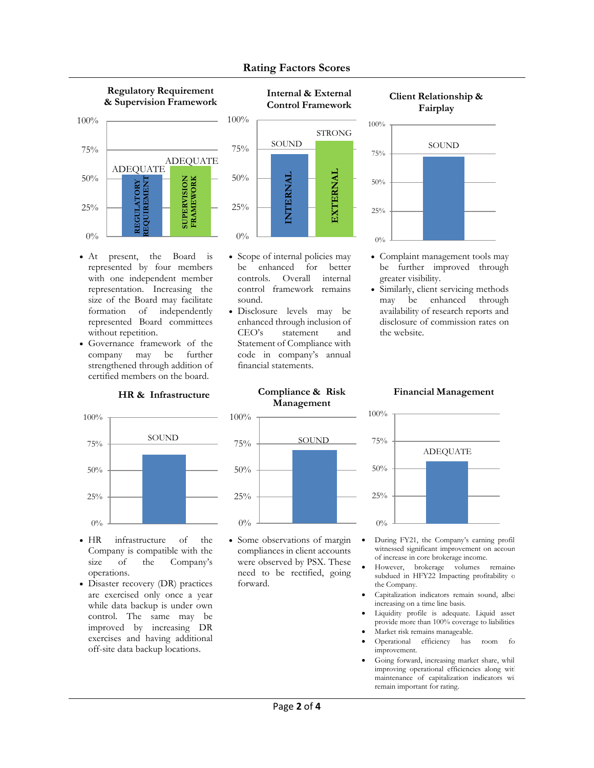

- At present, the Board is represented by four members with one independent member representation. Increasing the size of the Board may facilitate formation of independently represented Board committees without repetition.
- Governance framework of the company may be further strengthened through addition of certified members on the board.

### **HR & Infrastructure**



- HR infrastructure of the Company is compatible with the size of the Company's operations.
- Disaster recovery (DR) practices are exercised only once a year while data backup is under own control. The same may be improved by increasing DR exercises and having additional off-site data backup locations.



**Rating Factors Scores**

### **Client Relationship &**



- Complaint management tools may be further improved through greater visibility.
- Similarly, client servicing methods may be enhanced through availability of research reports and disclosure of commission rates on the website.

### **Compliance & Risk Management**

• Scope of internal policies may be enhanced for better controls. Overall internal control framework remains

**INTERNAL**

SOUND

**EXTERNAL**

STRONG

 Disclosure levels may be enhanced through inclusion of CEO's statement and Statement of Compliance with code in company's annual

financial statements.

sound.



 Some observations of margin compliances in client accounts were observed by PSX. These need to be rectified, going forward.

### **Financial Management**



- During FY21, the Company's earning profil witnessed significant improvement on account of increase in core brokerage income.
- However, brokerage volumes remained subdued in HFY22 Impacting profitability of the Company.
- Capitalization indicators remain sound, albei increasing on a time line basis.
- Liquidity profile is adequate. Liquid asset provide more than 100% coverage to liabilities.
- Market risk remains manageable.
- Operational efficiency has room fo improvement.
- Going forward, increasing market share, whil improving operational efficiencies along with maintenance of capitalization indicators wi remain important for rating.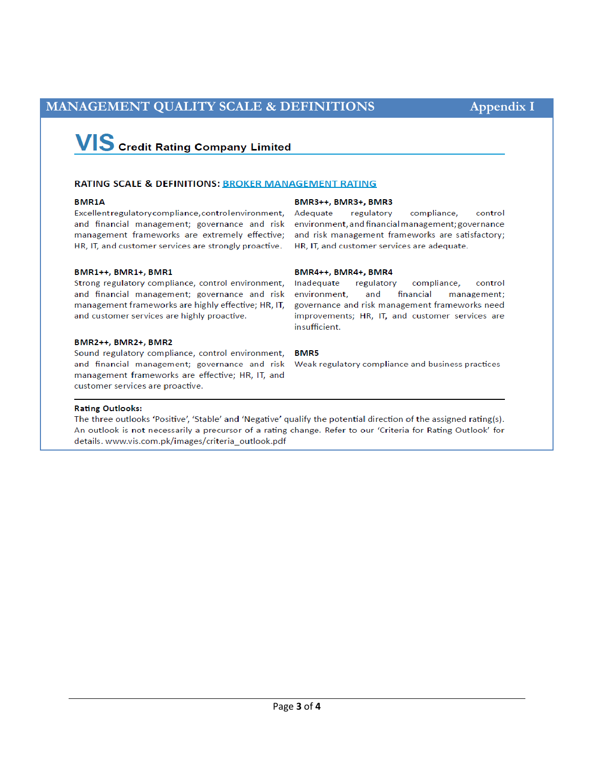### MANAGEMENT QUALITY SCALE & DEFINITIONS

# **VIS** Credit Rating Company Limited

### **RATING SCALE & DEFINITIONS: BROKER MANAGEMENT RATING**

### **BMR14**

Excellent regulatory compliance, control environment, Adequate and financial management; governance and risk management frameworks are extremely effective; HR, IT, and customer services are strongly proactive.

#### BMR1++, BMR1+, BMR1

Strong regulatory compliance, control environment, and financial management; governance and risk management frameworks are highly effective; HR, IT, and customer services are highly proactive.

#### BMR2++, BMR2+, BMR2

Sound regulatory compliance, control environment, and financial management; governance and risk management frameworks are effective; HR, IT, and customer services are proactive.

#### BMR3++, BMR3+, BMR3

regulatory compliance, control environment, and financial management; governance and risk management frameworks are satisfactory; HR, IT, and customer services are adequate.

### BMR4++, BMR4+, BMR4

Inadequate regulatory compliance, control environment, and financial management; governance and risk management frameworks need improvements; HR, IT, and customer services are insufficient.

### **BMR5**

Weak regulatory compliance and business practices

### **Rating Outlooks:**

The three outlooks 'Positive', 'Stable' and 'Negative' qualify the potential direction of the assigned rating(s). An outlook is not necessarily a precursor of a rating change. Refer to our 'Criteria for Rating Outlook' for details. www.vis.com.pk/images/criteria\_outlook.pdf

**Appendix I**